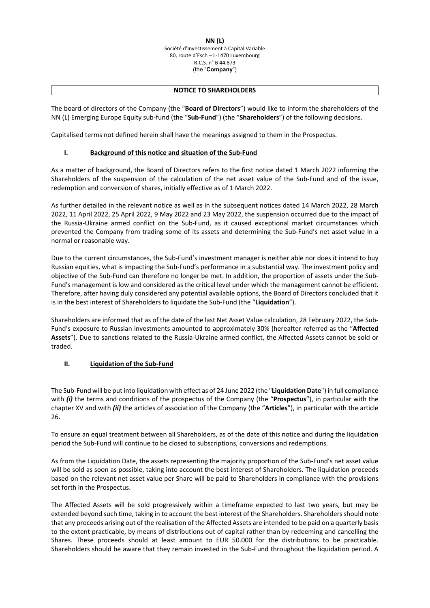## **NN (L)** Société d'Investissement à Capital Variable 80, route d'Esch – L‐1470 Luxembourg R.C.S. n° B 44.873 (the "**Company**")

## **NOTICE TO SHAREHOLDERS**

The board of directors of the Company (the "**Board of Directors**") would like to inform the shareholders of the NN (L) Emerging Europe Equity sub‐fund (the "**Sub‐Fund**") (the "**Shareholders**") of the following decisions.

Capitalised terms not defined herein shall have the meanings assigned to them in the Prospectus.

## **I. Background of this notice and situation of the Sub‐Fund**

As a matter of background, the Board of Directors refers to the first notice dated 1 March 2022 informing the Shareholders of the suspension of the calculation of the net asset value of the Sub-Fund and of the issue, redemption and conversion of shares, initially effective as of 1 March 2022.

As further detailed in the relevant notice as well as in the subsequent notices dated 14 March 2022, 28 March 2022, 11 April 2022, 25 April 2022, 9 May 2022 and 23 May 2022, the suspension occurred due to the impact of the Russia‐Ukraine armed conflict on the Sub‐Fund, as it caused exceptional market circumstances which prevented the Company from trading some of its assets and determining the Sub‐Fund's net asset value in a normal or reasonable way.

Due to the current circumstances, the Sub‐Fund's investment manager is neither able nor does it intend to buy Russian equities, what is impacting the Sub‐Fund's performance in a substantial way. The investment policy and objective of the Sub‐Fund can therefore no longer be met. In addition, the proportion of assets under the Sub‐ Fund's management is low and considered as the critical level under which the management cannot be efficient. Therefore, after having duly considered any potential available options, the Board of Directors concluded that it is in the best interest of Shareholders to liquidate the Sub‐Fund (the "**Liquidation**").

Shareholders are informed that as of the date of the last Net Asset Value calculation, 28 February 2022, the Sub‐ Fund's exposure to Russian investments amounted to approximately 30% (hereafter referred as the "**Affected Assets**"). Due to sanctions related to the Russia‐Ukraine armed conflict, the Affected Assets cannot be sold or traded.

## **II. Liquidation of the Sub‐Fund**

The Sub‐Fund will be put into liquidation with effect as of 24 June 2022 (the "**Liquidation Date**") in full compliance with *(i)* the terms and conditions of the prospectus of the Company (the "**Prospectus**"), in particular with the chapter XV and with *(ii)* the articles of association of the Company (the "**Articles**"), in particular with the article 26.

To ensure an equal treatment between all Shareholders, as of the date of this notice and during the liquidation period the Sub‐Fund will continue to be closed to subscriptions, conversions and redemptions.

As from the Liquidation Date, the assets representing the majority proportion of the Sub‐Fund's net asset value will be sold as soon as possible, taking into account the best interest of Shareholders. The liquidation proceeds based on the relevant net asset value per Share will be paid to Shareholders in compliance with the provisions set forth in the Prospectus.

The Affected Assets will be sold progressively within a timeframe expected to last two years, but may be extended beyond such time, taking in to account the best interest of the Shareholders. Shareholders should note that any proceeds arising out of the realisation of the Affected Assets are intended to be paid on a quarterly basis to the extent practicable, by means of distributions out of capital rather than by redeeming and cancelling the Shares. These proceeds should at least amount to EUR 50.000 for the distributions to be practicable. Shareholders should be aware that they remain invested in the Sub‐Fund throughout the liquidation period. A